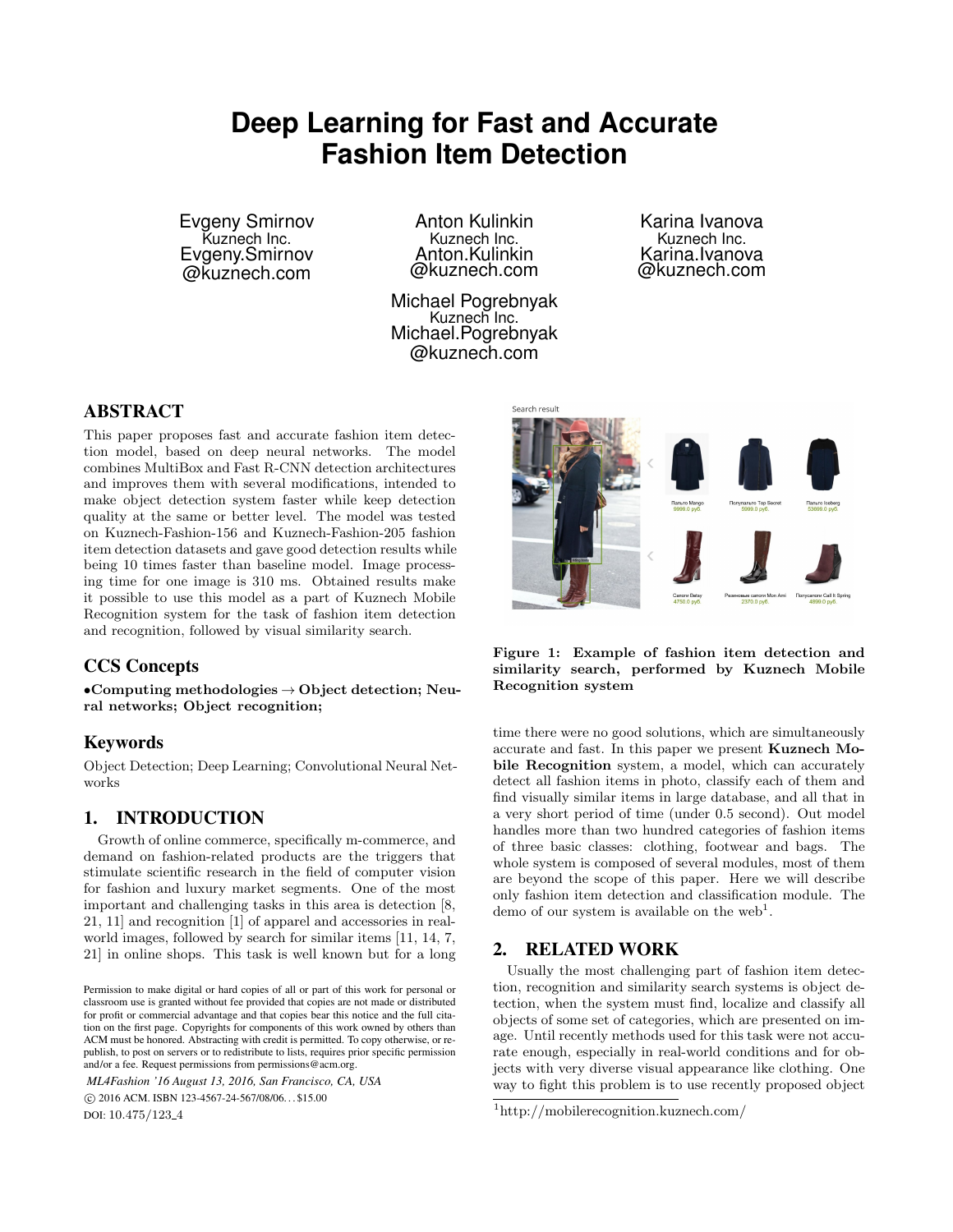# **Deep Learning for Fast and Accurate Fashion Item Detection**

Evgeny Smirnov Kuznech Inc. Evgeny.Smirnov @kuznech.com

Anton Kulinkin Kuznech Inc. Anton.Kulinkin @kuznech.com

Michael Pogrebnyak Kuznech Inc. Michael.Pogrebnyak @kuznech.com

Karina Ivanova Kuznech Inc. Karina.Ivanova @kuznech.com

# ABSTRACT

This paper proposes fast and accurate fashion item detection model, based on deep neural networks. The model combines MultiBox and Fast R-CNN detection architectures and improves them with several modifications, intended to make object detection system faster while keep detection quality at the same or better level. The model was tested on Kuznech-Fashion-156 and Kuznech-Fashion-205 fashion item detection datasets and gave good detection results while being 10 times faster than baseline model. Image processing time for one image is 310 ms. Obtained results make it possible to use this model as a part of Kuznech Mobile Recognition system for the task of fashion item detection and recognition, followed by visual similarity search.

# CCS Concepts

•Computing methodologies  $\rightarrow$  Object detection; Neural networks; Object recognition;

# Keywords

Object Detection; Deep Learning; Convolutional Neural Networks

#### 1. INTRODUCTION

Growth of online commerce, specifically m-commerce, and demand on fashion-related products are the triggers that stimulate scientific research in the field of computer vision for fashion and luxury market segments. One of the most important and challenging tasks in this area is detection [8, 21, 11] and recognition [1] of apparel and accessories in realworld images, followed by search for similar items [11, 14, 7, 21] in online shops. This task is well known but for a long

*ML4Fashion '16 August 13, 2016, San Francisco, CA, USA*

c 2016 ACM. ISBN 123-4567-24-567/08/06. . . \$15.00

DOI: 10.475/123<sub>-4</sub>





time there were no good solutions, which are simultaneously accurate and fast. In this paper we present Kuznech Mobile Recognition system, a model, which can accurately detect all fashion items in photo, classify each of them and find visually similar items in large database, and all that in a very short period of time (under 0.5 second). Out model handles more than two hundred categories of fashion items of three basic classes: clothing, footwear and bags. The whole system is composed of several modules, most of them are beyond the scope of this paper. Here we will describe only fashion item detection and classification module. The demo of our system is available on the web<sup>1</sup>.

# 2. RELATED WORK

Usually the most challenging part of fashion item detection, recognition and similarity search systems is object detection, when the system must find, localize and classify all objects of some set of categories, which are presented on image. Until recently methods used for this task were not accurate enough, especially in real-world conditions and for objects with very diverse visual appearance like clothing. One way to fight this problem is to use recently proposed object

Permission to make digital or hard copies of all or part of this work for personal or classroom use is granted without fee provided that copies are not made or distributed for profit or commercial advantage and that copies bear this notice and the full citation on the first page. Copyrights for components of this work owned by others than ACM must be honored. Abstracting with credit is permitted. To copy otherwise, or republish, to post on servers or to redistribute to lists, requires prior specific permission and/or a fee. Request permissions from permissions@acm.org.

<sup>1</sup>http://mobilerecognition.kuznech.com/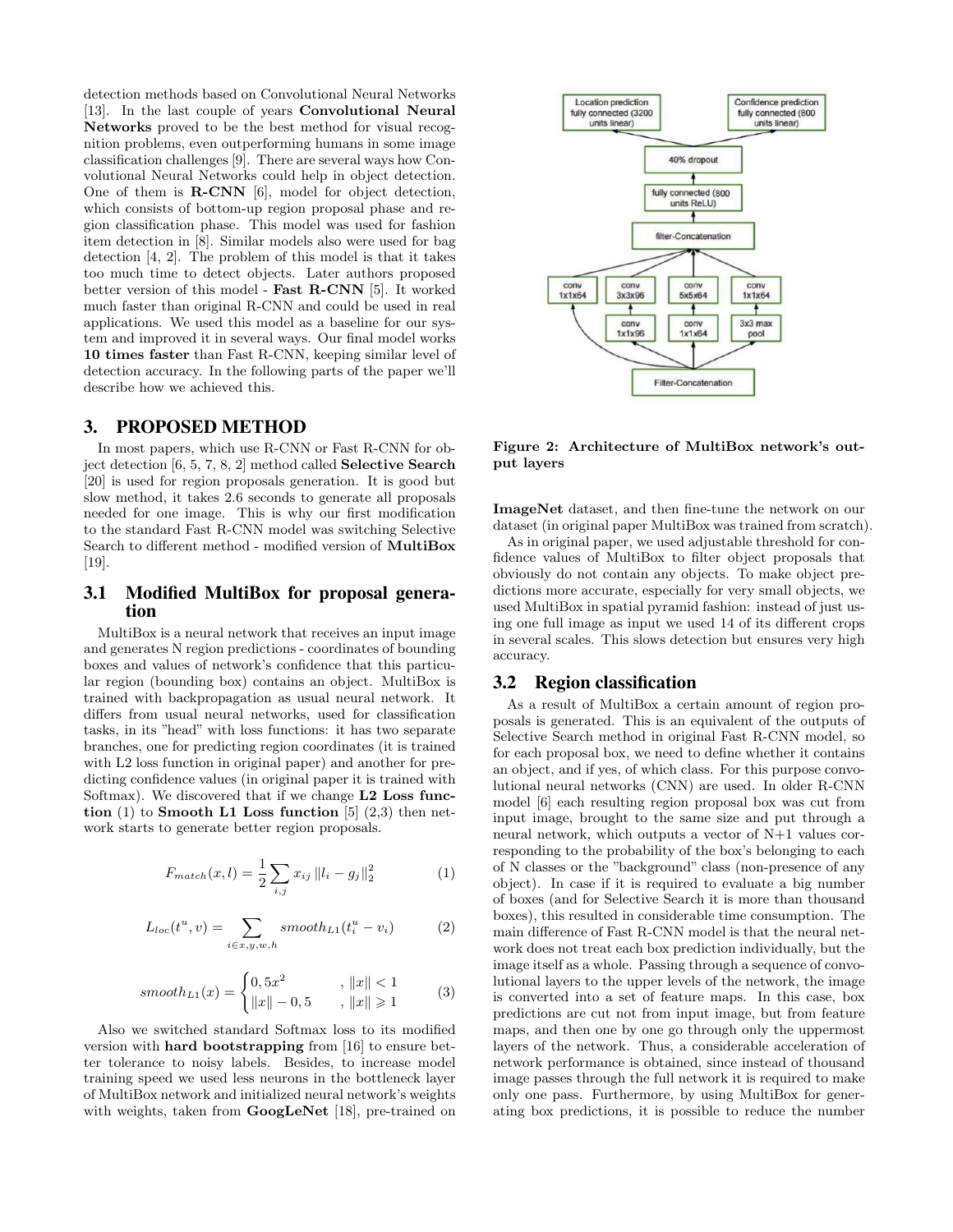detection methods based on Convolutional Neural Networks [13]. In the last couple of years Convolutional Neural Networks proved to be the best method for visual recognition problems, even outperforming humans in some image classification challenges [9]. There are several ways how Convolutional Neural Networks could help in object detection. One of them is R-CNN [6], model for object detection, which consists of bottom-up region proposal phase and region classification phase. This model was used for fashion item detection in [8]. Similar models also were used for bag detection [4, 2]. The problem of this model is that it takes too much time to detect objects. Later authors proposed better version of this model - Fast R-CNN [5]. It worked much faster than original R-CNN and could be used in real applications. We used this model as a baseline for our system and improved it in several ways. Our final model works 10 times faster than Fast R-CNN, keeping similar level of detection accuracy. In the following parts of the paper we'll describe how we achieved this.

#### 3. PROPOSED METHOD

In most papers, which use R-CNN or Fast R-CNN for object detection [6, 5, 7, 8, 2] method called Selective Search [20] is used for region proposals generation. It is good but slow method, it takes 2.6 seconds to generate all proposals needed for one image. This is why our first modification to the standard Fast R-CNN model was switching Selective Search to different method - modified version of MultiBox [19].

# 3.1 Modified MultiBox for proposal generation

MultiBox is a neural network that receives an input image and generates N region predictions - coordinates of bounding boxes and values of network's confidence that this particular region (bounding box) contains an object. MultiBox is trained with backpropagation as usual neural network. It differs from usual neural networks, used for classification tasks, in its "head" with loss functions: it has two separate branches, one for predicting region coordinates (it is trained with L2 loss function in original paper) and another for predicting confidence values (in original paper it is trained with Softmax). We discovered that if we change  $L2$  Loss function (1) to Smooth L1 Loss function [5]  $(2,3)$  then network starts to generate better region proposals.

$$
F_{match}(x,l) = \frac{1}{2} \sum_{i,j} x_{ij} ||l_i - g_j||_2^2
$$
 (1)

$$
L_{loc}(t^u, v) = \sum_{i \in x, y, w, h} smooth_{L1}(t_i^u - v_i)
$$
 (2)

$$
smooth_{L1}(x) = \begin{cases} 0, 5x^2 & , ||x|| < 1\\ ||x|| - 0, 5 & , ||x|| \ge 1 \end{cases}
$$
 (3)

Also we switched standard Softmax loss to its modified version with hard bootstrapping from [16] to ensure better tolerance to noisy labels. Besides, to increase model training speed we used less neurons in the bottleneck layer of MultiBox network and initialized neural network's weights with weights, taken from **GoogLeNet** [18], pre-trained on



Figure 2: Architecture of MultiBox network's output layers

ImageNet dataset, and then fine-tune the network on our dataset (in original paper MultiBox was trained from scratch).

As in original paper, we used adjustable threshold for confidence values of MultiBox to filter object proposals that obviously do not contain any objects. To make object predictions more accurate, especially for very small objects, we used MultiBox in spatial pyramid fashion: instead of just using one full image as input we used 14 of its different crops in several scales. This slows detection but ensures very high accuracy.

#### 3.2 Region classification

As a result of MultiBox a certain amount of region proposals is generated. This is an equivalent of the outputs of Selective Search method in original Fast R-CNN model, so for each proposal box, we need to define whether it contains an object, and if yes, of which class. For this purpose convolutional neural networks (CNN) are used. In older R-CNN model [6] each resulting region proposal box was cut from input image, brought to the same size and put through a neural network, which outputs a vector of N+1 values corresponding to the probability of the box's belonging to each of N classes or the "background" class (non-presence of any object). In case if it is required to evaluate a big number of boxes (and for Selective Search it is more than thousand boxes), this resulted in considerable time consumption. The main difference of Fast R-CNN model is that the neural network does not treat each box prediction individually, but the image itself as a whole. Passing through a sequence of convolutional layers to the upper levels of the network, the image is converted into a set of feature maps. In this case, box predictions are cut not from input image, but from feature maps, and then one by one go through only the uppermost layers of the network. Thus, a considerable acceleration of network performance is obtained, since instead of thousand image passes through the full network it is required to make only one pass. Furthermore, by using MultiBox for generating box predictions, it is possible to reduce the number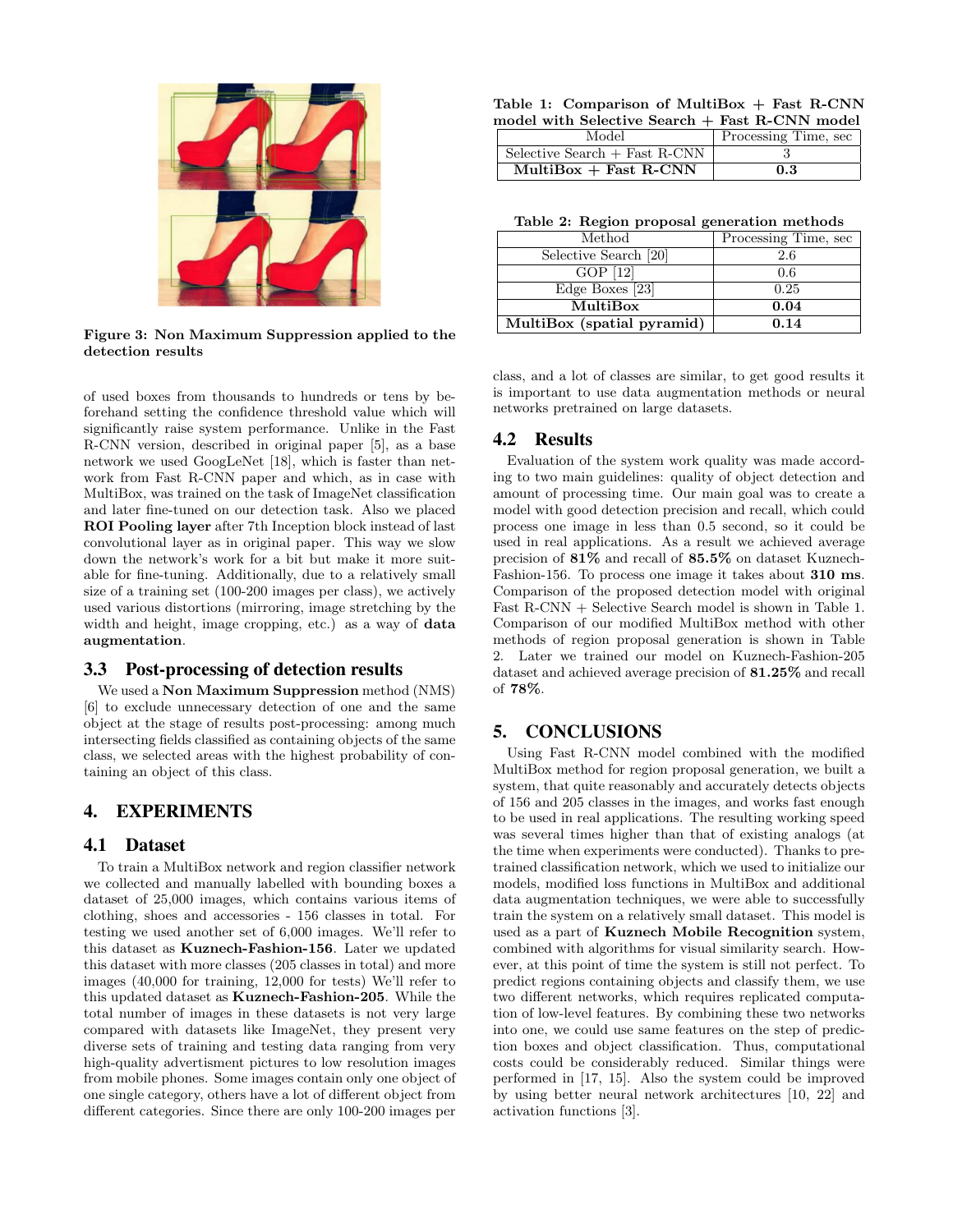

Figure 3: Non Maximum Suppression applied to the detection results

of used boxes from thousands to hundreds or tens by beforehand setting the confidence threshold value which will significantly raise system performance. Unlike in the Fast R-CNN version, described in original paper [5], as a base network we used GoogLeNet [18], which is faster than network from Fast R-CNN paper and which, as in case with MultiBox, was trained on the task of ImageNet classification and later fine-tuned on our detection task. Also we placed ROI Pooling layer after 7th Inception block instead of last convolutional layer as in original paper. This way we slow down the network's work for a bit but make it more suitable for fine-tuning. Additionally, due to a relatively small size of a training set (100-200 images per class), we actively used various distortions (mirroring, image stretching by the width and height, image cropping, etc.) as a way of **data** augmentation.

#### 3.3 Post-processing of detection results

We used a Non Maximum Suppression method (NMS) [6] to exclude unnecessary detection of one and the same object at the stage of results post-processing: among much intersecting fields classified as containing objects of the same class, we selected areas with the highest probability of containing an object of this class.

# 4. EXPERIMENTS

# 4.1 Dataset

To train a MultiBox network and region classifier network we collected and manually labelled with bounding boxes a dataset of 25,000 images, which contains various items of clothing, shoes and accessories - 156 classes in total. For testing we used another set of 6,000 images. We'll refer to this dataset as Kuznech-Fashion-156. Later we updated this dataset with more classes (205 classes in total) and more images (40,000 for training, 12,000 for tests) We'll refer to this updated dataset as Kuznech-Fashion-205. While the total number of images in these datasets is not very large compared with datasets like ImageNet, they present very diverse sets of training and testing data ranging from very high-quality advertisment pictures to low resolution images from mobile phones. Some images contain only one object of one single category, others have a lot of different object from different categories. Since there are only 100-200 images per

| Table 1: Comparison of MultiBox $+$ Fast R-CNN |                       |  |
|------------------------------------------------|-----------------------|--|
| model with Selective Search + Fast R-CNN model |                       |  |
| Model                                          | Processing Time, sec. |  |

| Model                           | Processing Time, sec |
|---------------------------------|----------------------|
| Selective Search $+$ Fast R-CNN |                      |
| MultiBox $+$ Fast R-CNN         | 0.3                  |

Table 2: Region proposal generation methods

| Method                     | Processing Time, sec |
|----------------------------|----------------------|
| Selective Search [20]      | 2.6                  |
| GOP [12]                   | 0.6                  |
| Edge Boxes [23]            | 0.25                 |
| MultiBox                   | 0.04                 |
| MultiBox (spatial pyramid) | 0.14                 |

class, and a lot of classes are similar, to get good results it is important to use data augmentation methods or neural networks pretrained on large datasets.

#### 4.2 Results

Evaluation of the system work quality was made according to two main guidelines: quality of object detection and amount of processing time. Our main goal was to create a model with good detection precision and recall, which could process one image in less than 0.5 second, so it could be used in real applications. As a result we achieved average precision of 81% and recall of 85.5% on dataset Kuznech-Fashion-156. To process one image it takes about 310 ms. Comparison of the proposed detection model with original Fast R-CNN + Selective Search model is shown in Table 1. Comparison of our modified MultiBox method with other methods of region proposal generation is shown in Table 2. Later we trained our model on Kuznech-Fashion-205 dataset and achieved average precision of 81.25% and recall of 78%.

# 5. CONCLUSIONS

Using Fast R-CNN model combined with the modified MultiBox method for region proposal generation, we built a system, that quite reasonably and accurately detects objects of 156 and 205 classes in the images, and works fast enough to be used in real applications. The resulting working speed was several times higher than that of existing analogs (at the time when experiments were conducted). Thanks to pretrained classification network, which we used to initialize our models, modified loss functions in MultiBox and additional data augmentation techniques, we were able to successfully train the system on a relatively small dataset. This model is used as a part of Kuznech Mobile Recognition system, combined with algorithms for visual similarity search. However, at this point of time the system is still not perfect. To predict regions containing objects and classify them, we use two different networks, which requires replicated computation of low-level features. By combining these two networks into one, we could use same features on the step of prediction boxes and object classification. Thus, computational costs could be considerably reduced. Similar things were performed in [17, 15]. Also the system could be improved by using better neural network architectures [10, 22] and activation functions [3].